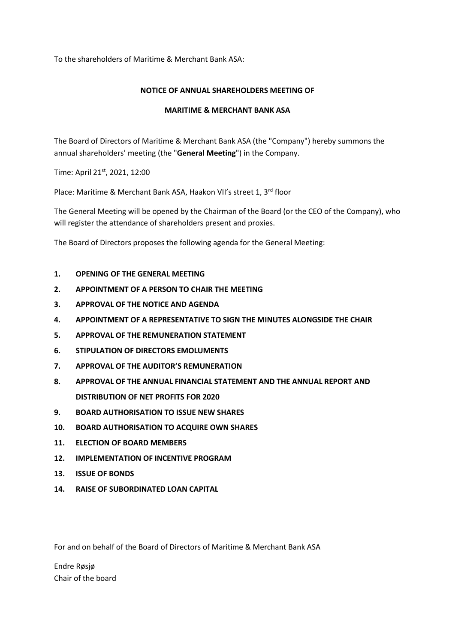To the shareholders of Maritime & Merchant Bank ASA:

# **NOTICE OF ANNUAL SHAREHOLDERS MEETING OF**

## **MARITIME & MERCHANT BANK ASA**

The Board of Directors of Maritime & Merchant Bank ASA (the "Company") hereby summons the annual shareholders' meeting (the "**General Meeting**") in the Company.

Time: April 21st, 2021, 12:00

Place: Maritime & Merchant Bank ASA, Haakon VII's street 1, 3rd floor

The General Meeting will be opened by the Chairman of the Board (or the CEO of the Company), who will register the attendance of shareholders present and proxies.

The Board of Directors proposes the following agenda for the General Meeting:

- **1. OPENING OF THE GENERAL MEETING**
- **2. APPOINTMENT OF A PERSON TO CHAIR THE MEETING**
- **3. APPROVAL OF THE NOTICE AND AGENDA**
- **4. APPOINTMENT OF A REPRESENTATIVE TO SIGN THE MINUTES ALONGSIDE THE CHAIR**
- **5. APPROVAL OF THE REMUNERATION STATEMENT**
- **6. STIPULATION OF DIRECTORS EMOLUMENTS**
- **7. APPROVAL OF THE AUDITOR'S REMUNERATION**
- **8. APPROVAL OF THE ANNUAL FINANCIAL STATEMENT AND THE ANNUAL REPORT AND DISTRIBUTION OF NET PROFITS FOR 2020**
- **9. BOARD AUTHORISATION TO ISSUE NEW SHARES**
- **10. BOARD AUTHORISATION TO ACQUIRE OWN SHARES**
- **11. ELECTION OF BOARD MEMBERS**
- **12. IMPLEMENTATION OF INCENTIVE PROGRAM**
- **13. ISSUE OF BONDS**
- **14. RAISE OF SUBORDINATED LOAN CAPITAL**

For and on behalf of the Board of Directors of Maritime & Merchant Bank ASA

Endre Røsjø Chair of the board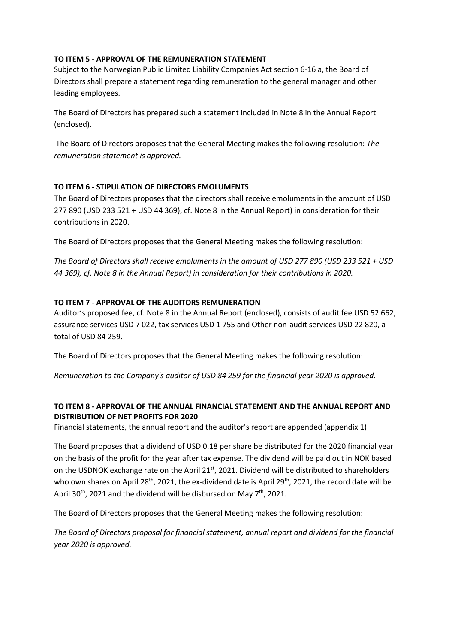## **TO ITEM 5 - APPROVAL OF THE REMUNERATION STATEMENT**

Subject to the Norwegian Public Limited Liability Companies Act section 6-16 a, the Board of Directors shall prepare a statement regarding remuneration to the general manager and other leading employees.

The Board of Directors has prepared such a statement included in Note 8 in the Annual Report (enclosed).

The Board of Directors proposes that the General Meeting makes the following resolution: *The remuneration statement is approved.*

# **TO ITEM 6 - STIPULATION OF DIRECTORS EMOLUMENTS**

The Board of Directors proposes that the directors shall receive emoluments in the amount of USD 277 890 (USD 233 521 + USD 44 369), cf. Note 8 in the Annual Report) in consideration for their contributions in 2020.

The Board of Directors proposes that the General Meeting makes the following resolution:

*The Board of Directors shall receive emoluments in the amount of USD 277 890 (USD 233 521 + USD 44 369), cf. Note 8 in the Annual Report) in consideration for their contributions in 2020.*

## **TO ITEM 7 - APPROVAL OF THE AUDITORS REMUNERATION**

Auditor's proposed fee, cf. Note 8 in the Annual Report (enclosed), consists of audit fee USD 52 662, assurance services USD 7 022, tax services USD 1 755 and Other non-audit services USD 22 820, a total of USD 84 259.

The Board of Directors proposes that the General Meeting makes the following resolution:

*Remuneration to the Company's auditor of USD 84 259 for the financial year 2020 is approved.*

# **TO ITEM 8 - APPROVAL OF THE ANNUAL FINANCIAL STATEMENT AND THE ANNUAL REPORT AND DISTRIBUTION OF NET PROFITS FOR 2020**

Financial statements, the annual report and the auditor's report are appended (appendix 1)

The Board proposes that a dividend of USD 0.18 per share be distributed for the 2020 financial year on the basis of the profit for the year after tax expense. The dividend will be paid out in NOK based on the USDNOK exchange rate on the April 21<sup>st</sup>, 2021. Dividend will be distributed to shareholders who own shares on April 28<sup>th</sup>, 2021, the ex-dividend date is April 29<sup>th</sup>, 2021, the record date will be April 30<sup>th</sup>, 2021 and the dividend will be disbursed on May 7<sup>th</sup>, 2021.

The Board of Directors proposes that the General Meeting makes the following resolution:

*The Board of Directors proposal for financial statement, annual report and dividend for the financial year 2020 is approved.*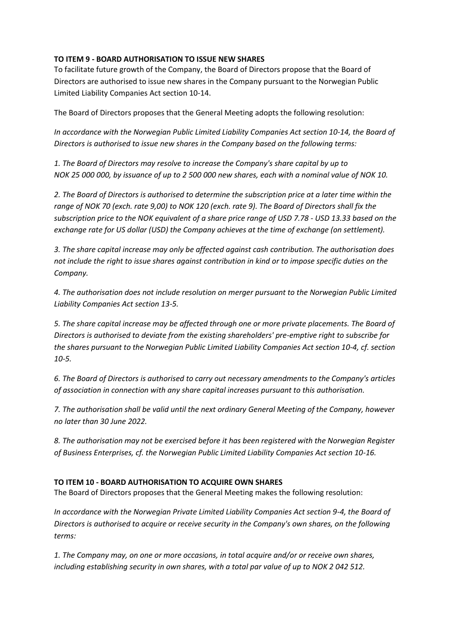# **TO ITEM 9 - BOARD AUTHORISATION TO ISSUE NEW SHARES**

To facilitate future growth of the Company, the Board of Directors propose that the Board of Directors are authorised to issue new shares in the Company pursuant to the Norwegian Public Limited Liability Companies Act section 10-14.

The Board of Directors proposes that the General Meeting adopts the following resolution:

*In accordance with the Norwegian Public Limited Liability Companies Act section 10-14, the Board of Directors is authorised to issue new shares in the Company based on the following terms:*

*1. The Board of Directors may resolve to increase the Company's share capital by up to NOK 25 000 000, by issuance of up to 2 500 000 new shares, each with a nominal value of NOK 10.*

*2. The Board of Directors is authorised to determine the subscription price at a later time within the range of NOK 70 (exch. rate 9,00) to NOK 120 (exch. rate 9). The Board of Directors shall fix the subscription price to the NOK equivalent of a share price range of USD 7.78 - USD 13.33 based on the exchange rate for US dollar (USD) the Company achieves at the time of exchange (on settlement).* 

*3. The share capital increase may only be affected against cash contribution. The authorisation does not include the right to issue shares against contribution in kind or to impose specific duties on the Company.*

*4. The authorisation does not include resolution on merger pursuant to the Norwegian Public Limited Liability Companies Act section 13-5.*

*5. The share capital increase may be affected through one or more private placements. The Board of Directors is authorised to deviate from the existing shareholders' pre-emptive right to subscribe for the shares pursuant to the Norwegian Public Limited Liability Companies Act section 10-4, cf. section 10-5.*

*6. The Board of Directors is authorised to carry out necessary amendments to the Company's articles of association in connection with any share capital increases pursuant to this authorisation.*

*7. The authorisation shall be valid until the next ordinary General Meeting of the Company, however no later than 30 June 2022.*

*8. The authorisation may not be exercised before it has been registered with the Norwegian Register of Business Enterprises, cf. the Norwegian Public Limited Liability Companies Act section 10-16.*

# **TO ITEM 10 - BOARD AUTHORISATION TO ACQUIRE OWN SHARES**

The Board of Directors proposes that the General Meeting makes the following resolution:

*In accordance with the Norwegian Private Limited Liability Companies Act section 9-4, the Board of Directors is authorised to acquire or receive security in the Company's own shares, on the following terms:*

*1. The Company may, on one or more occasions, in total acquire and/or or receive own shares, including establishing security in own shares, with a total par value of up to NOK 2 042 512.*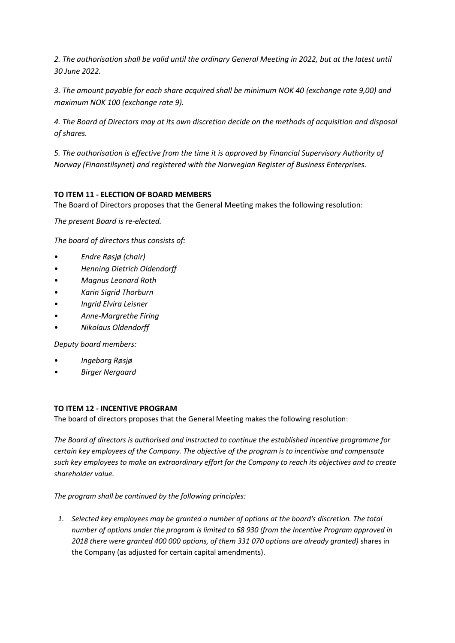*2. The authorisation shall be valid until the ordinary General Meeting in 2022, but at the latest until 30 June 2022.*

*3. The amount payable for each share acquired shall be minimum NOK 40 (exchange rate 9,00) and maximum NOK 100 (exchange rate 9).*

*4. The Board of Directors may at its own discretion decide on the methods of acquisition and disposal of shares.*

*5. The authorisation is effective from the time it is approved by Financial Supervisory Authority of Norway (Finanstilsynet) and registered with the Norwegian Register of Business Enterprises.*

# **TO ITEM 11 - ELECTION OF BOARD MEMBERS**

The Board of Directors proposes that the General Meeting makes the following resolution:

*The present Board is re-elected.*

*The board of directors thus consists of:*

- *Endre Røsjø (chair)*
- *Henning Dietrich Oldendorff*
- *Magnus Leonard Roth*
- *Karin Sigrid Thorburn*
- *Ingrid Elvira Leisner*
- *Anne-Margrethe Firing*
- *Nikolaus Oldendorff*

*Deputy board members:*

- *Ingeborg Røsjø*
- *Birger Nergaard*

# **TO ITEM 12 - INCENTIVE PROGRAM**

The board of directors proposes that the General Meeting makes the following resolution:

*The Board of directors is authorised and instructed to continue the established incentive programme for certain key employees of the Company. The objective of the program is to incentivise and compensate such key employees to make an extraordinary effort for the Company to reach its objectives and to create shareholder value.*

*The program shall be continued by the following principles:*

*1. Selected key employees may be granted a number of options at the board's discretion. The total number of options under the program is limited to 68 930 (from the Incentive Program approved in 2018 there were granted 400 000 options, of them 331 070 options are already granted)* shares in the Company (as adjusted for certain capital amendments).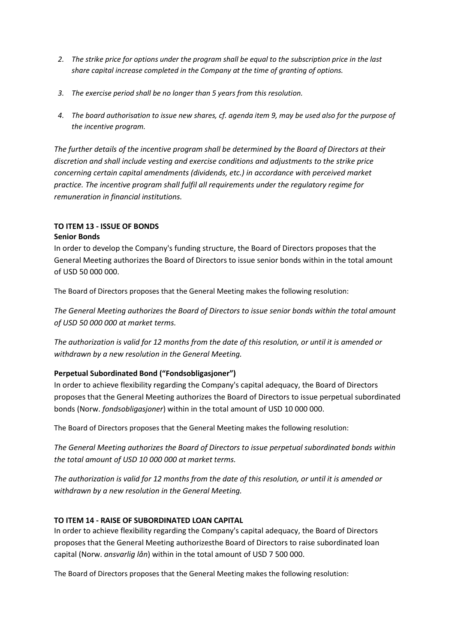- *2. The strike price for options under the program shall be equal to the subscription price in the last share capital increase completed in the Company at the time of granting of options.*
- *3. The exercise period shall be no longer than 5 years from this resolution.*
- *4. The board authorisation to issue new shares, cf. agenda item 9, may be used also for the purpose of the incentive program.*

*The further details of the incentive program shall be determined by the Board of Directors at their discretion and shall include vesting and exercise conditions and adjustments to the strike price concerning certain capital amendments (dividends, etc.) in accordance with perceived market practice. The incentive program shall fulfil all requirements under the regulatory regime for remuneration in financial institutions.*

# **TO ITEM 13 - ISSUE OF BONDS Senior Bonds**

In order to develop the Company's funding structure, the Board of Directors proposes that the General Meeting authorizes the Board of Directors to issue senior bonds within in the total amount of USD 50 000 000.

The Board of Directors proposes that the General Meeting makes the following resolution:

*The General Meeting authorizes the Board of Directors to issue senior bonds within the total amount of USD 50 000 000 at market terms.*

*The authorization is valid for 12 months from the date of this resolution, or until it is amended or withdrawn by a new resolution in the General Meeting.*

# **Perpetual Subordinated Bond ("Fondsobligasjoner")**

In order to achieve flexibility regarding the Company's capital adequacy, the Board of Directors proposes that the General Meeting authorizes the Board of Directors to issue perpetual subordinated bonds (Norw. *fondsobligasjoner*) within in the total amount of USD 10 000 000.

The Board of Directors proposes that the General Meeting makes the following resolution:

*The General Meeting authorizes the Board of Directors to issue perpetual subordinated bonds within the total amount of USD 10 000 000 at market terms.*

*The authorization is valid for 12 months from the date of this resolution, or until it is amended or withdrawn by a new resolution in the General Meeting.*

# **TO ITEM 14 - RAISE OF SUBORDINATED LOAN CAPITAL**

In order to achieve flexibility regarding the Company's capital adequacy, the Board of Directors proposes that the General Meeting authorizesthe Board of Directors to raise subordinated loan capital (Norw. *ansvarlig lån*) within in the total amount of USD 7 500 000.

The Board of Directors proposes that the General Meeting makes the following resolution: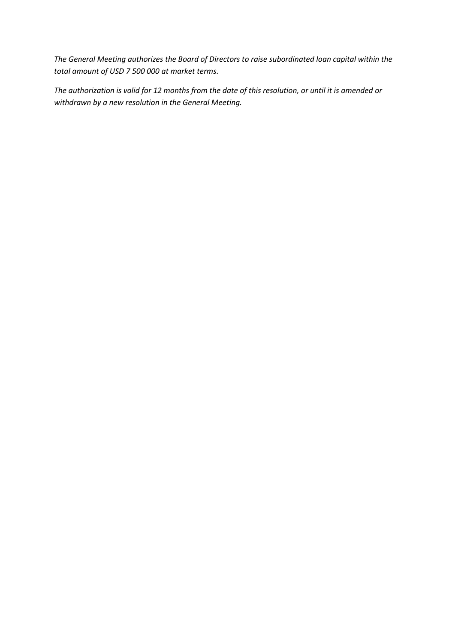*The General Meeting authorizes the Board of Directors to raise subordinated loan capital within the total amount of USD 7 500 000 at market terms.*

*The authorization is valid for 12 months from the date of this resolution, or until it is amended or withdrawn by a new resolution in the General Meeting.*